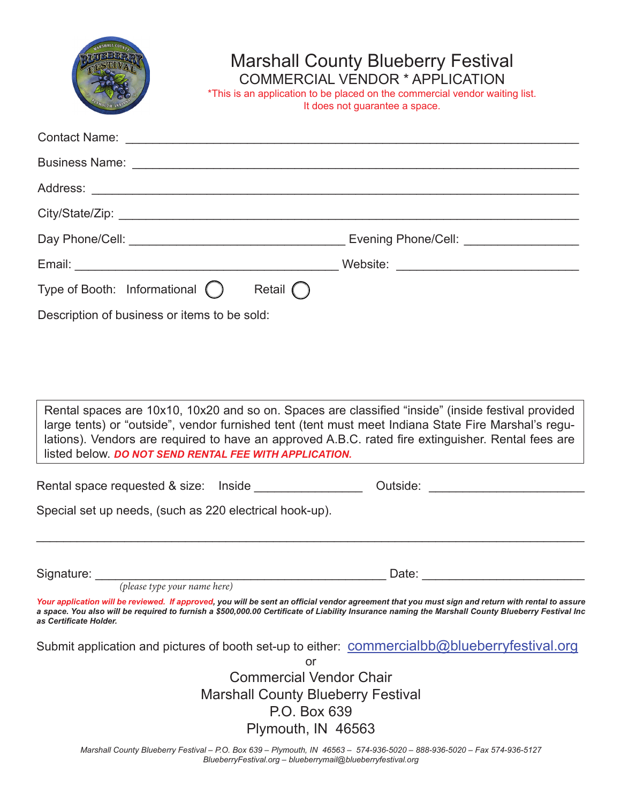|                                                         | <b>Marshall County Blueberry Festival</b><br>COMMERCIAL VENDOR * APPLICATION<br>*This is an application to be placed on the commercial vendor waiting list.<br>It does not guarantee a space.                                                                                                                                                                             |
|---------------------------------------------------------|---------------------------------------------------------------------------------------------------------------------------------------------------------------------------------------------------------------------------------------------------------------------------------------------------------------------------------------------------------------------------|
|                                                         | Contact Name: The Contact Name: The Contact Name:                                                                                                                                                                                                                                                                                                                         |
|                                                         |                                                                                                                                                                                                                                                                                                                                                                           |
|                                                         |                                                                                                                                                                                                                                                                                                                                                                           |
|                                                         |                                                                                                                                                                                                                                                                                                                                                                           |
|                                                         |                                                                                                                                                                                                                                                                                                                                                                           |
|                                                         |                                                                                                                                                                                                                                                                                                                                                                           |
| Type of Booth: Informational ()                         | Retail $\bigcap$                                                                                                                                                                                                                                                                                                                                                          |
|                                                         | Rental spaces are 10x10, 10x20 and so on. Spaces are classified "inside" (inside festival provided<br>large tents) or "outside", vendor furnished tent (tent must meet Indiana State Fire Marshal's regu-<br>lations). Vendors are required to have an approved A.B.C. rated fire extinguisher. Rental fees are<br>listed below. DO NOT SEND RENTAL FEE WITH APPLICATION. |
|                                                         | Outside:                                                                                                                                                                                                                                                                                                                                                                  |
| Special set up needs, (such as 220 electrical hook-up). |                                                                                                                                                                                                                                                                                                                                                                           |
|                                                         | Date: the contract of the contract of the contract of the contract of the contract of the contract of the contract of the contract of the contract of the contract of the contract of the contract of the contract of the cont                                                                                                                                            |
| as Certificate Holder.                                  | Your application will be reviewed. If approved, you will be sent an official vendor agreement that you must sign and return with rental to assure<br>a space. You also will be required to furnish a \$500,000.00 Certificate of Liability Insurance naming the Marshall County Blueberry Festival Inc                                                                    |
|                                                         | Submit application and pictures of booth set-up to either: commercialbb@blueberryfestival.org                                                                                                                                                                                                                                                                             |
|                                                         | or<br><b>Commercial Vendor Chair</b><br><b>Marshall County Blueberry Festival</b><br>P.O. Box 639<br>Plymouth, IN 46563                                                                                                                                                                                                                                                   |

*Marshall County Blueberry Festival – P.O. Box 639 – Plymouth, IN 46563 – 574-936-5020 – 888-936-5020 – Fax 574-936-5127 BlueberryFestival.org – blueberrymail@blueberryfestival.org*